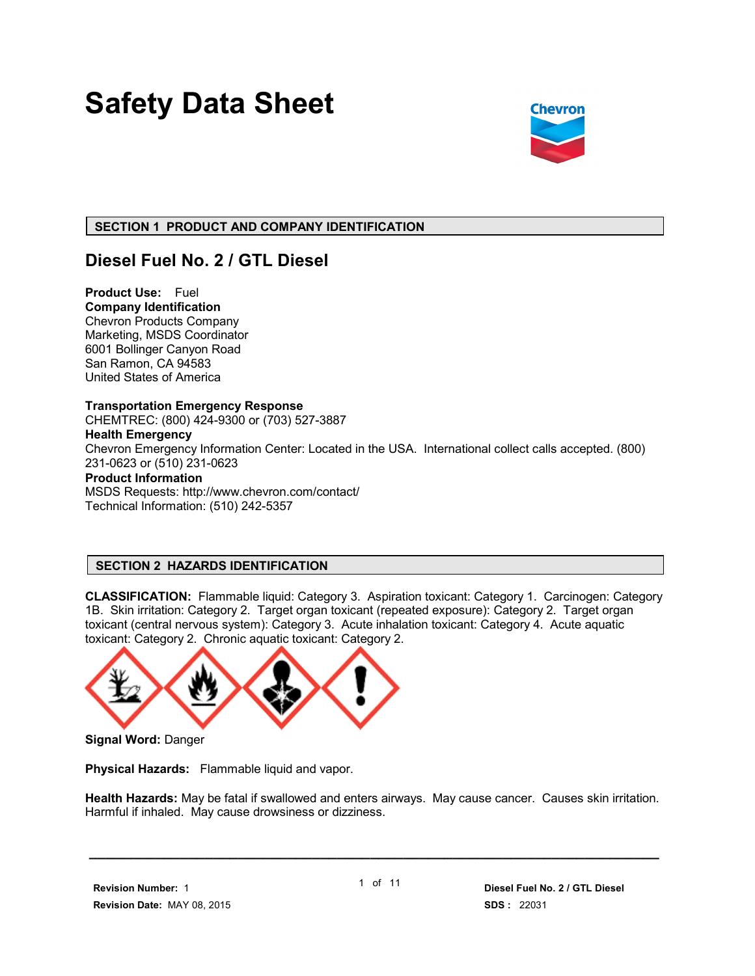# **Safety Data Sheet**



# **SECTION 1 PRODUCT AND COMPANY IDENTIFICATION**

# **Diesel Fuel No. 2 / GTL Diesel**

**Product Use:** Fuel **Company Identification** Chevron Products Company Marketing, MSDS Coordinator 6001 Bollinger Canyon Road San Ramon, CA 94583 United States of America

**Transportation Emergency Response** CHEMTREC: (800) 424-9300 or (703) 527-3887 **Health Emergency** Chevron Emergency Information Center: Located in the USA. International collect calls accepted. (800) 231-0623 or (510) 231-0623 **Product Information** MSDS Requests: http://www.chevron.com/contact/ Technical Information: (510) 242-5357

# **SECTION 2 HAZARDS IDENTIFICATION**

**CLASSIFICATION:** Flammable liquid: Category 3. Aspiration toxicant: Category 1. Carcinogen: Category 1B. Skin irritation: Category 2. Target organ toxicant (repeated exposure): Category 2. Target organ toxicant (central nervous system): Category 3. Acute inhalation toxicant: Category 4. Acute aquatic toxicant: Category 2. Chronic aquatic toxicant: Category 2.



**Signal Word:** Danger

**Physical Hazards:** Flammable liquid and vapor.

**Health Hazards:** May be fatal if swallowed and enters airways. May cause cancer. Causes skin irritation. Harmful if inhaled. May cause drowsiness or dizziness.

 **\_\_\_\_\_\_\_\_\_\_\_\_\_\_\_\_\_\_\_\_\_\_\_\_\_\_\_\_\_\_\_\_\_\_\_\_\_\_\_\_\_\_\_\_\_\_\_\_\_\_\_\_\_\_\_\_\_\_\_\_\_\_\_\_\_\_\_\_\_**

 **Revision Number:** 1  **Revision Date:** MAY 08, 2015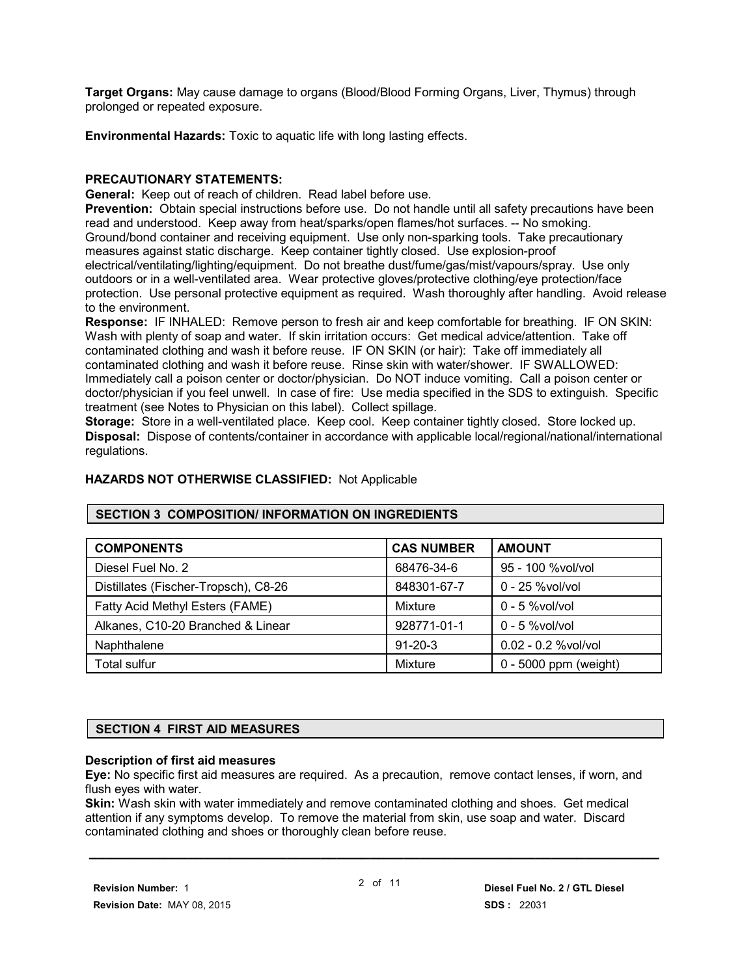**Target Organs:** May cause damage to organs (Blood/Blood Forming Organs, Liver, Thymus) through prolonged or repeated exposure.

**Environmental Hazards:** Toxic to aquatic life with long lasting effects.

### **PRECAUTIONARY STATEMENTS:**

**General:** Keep out of reach of children. Read label before use.

**Prevention:** Obtain special instructions before use. Do not handle until all safety precautions have been read and understood. Keep away from heat/sparks/open flames/hot surfaces. -- No smoking. Ground/bond container and receiving equipment. Use only non-sparking tools. Take precautionary measures against static discharge. Keep container tightly closed. Use explosion-proof electrical/ventilating/lighting/equipment. Do not breathe dust/fume/gas/mist/vapours/spray. Use only outdoors or in a well-ventilated area. Wear protective gloves/protective clothing/eye protection/face protection. Use personal protective equipment as required. Wash thoroughly after handling. Avoid release to the environment.

**Response:** IF INHALED: Remove person to fresh air and keep comfortable for breathing. IF ON SKIN: Wash with plenty of soap and water. If skin irritation occurs: Get medical advice/attention. Take off contaminated clothing and wash it before reuse. IF ON SKIN (or hair): Take off immediately all contaminated clothing and wash it before reuse. Rinse skin with water/shower. IF SWALLOWED: Immediately call a poison center or doctor/physician. Do NOT induce vomiting. Call a poison center or doctor/physician if you feel unwell. In case of fire: Use media specified in the SDS to extinguish. Specific treatment (see Notes to Physician on this label). Collect spillage.

**Storage:** Store in a well-ventilated place. Keep cool. Keep container tightly closed. Store locked up. **Disposal:** Dispose of contents/container in accordance with applicable local/regional/national/international regulations.

#### **HAZARDS NOT OTHERWISE CLASSIFIED:** Not Applicable

#### **SECTION 3 COMPOSITION/ INFORMATION ON INGREDIENTS**

| <b>COMPONENTS</b>                    | <b>CAS NUMBER</b> | <b>AMOUNT</b>           |
|--------------------------------------|-------------------|-------------------------|
| Diesel Fuel No. 2                    | 68476-34-6        | 95 - 100 % vol/ vol     |
| Distillates (Fischer-Tropsch), C8-26 | 848301-67-7       | 0 - 25 % vol/vol        |
| Fatty Acid Methyl Esters (FAME)      | Mixture           | $0 - 5$ %vol/vol        |
| Alkanes, C10-20 Branched & Linear    | 928771-01-1       | $0 - 5$ %vol/vol        |
| Naphthalene                          | $91 - 20 - 3$     | $0.02 - 0.2$ %vol/vol   |
| <b>Total sulfur</b>                  | Mixture           | $0 - 5000$ ppm (weight) |

#### **SECTION 4 FIRST AID MEASURES**

#### **Description of first aid measures**

**Eye:** No specific first aid measures are required. As a precaution, remove contact lenses, if worn, and flush eyes with water.

**Skin:** Wash skin with water immediately and remove contaminated clothing and shoes. Get medical attention if any symptoms develop. To remove the material from skin, use soap and water. Discard contaminated clothing and shoes or thoroughly clean before reuse.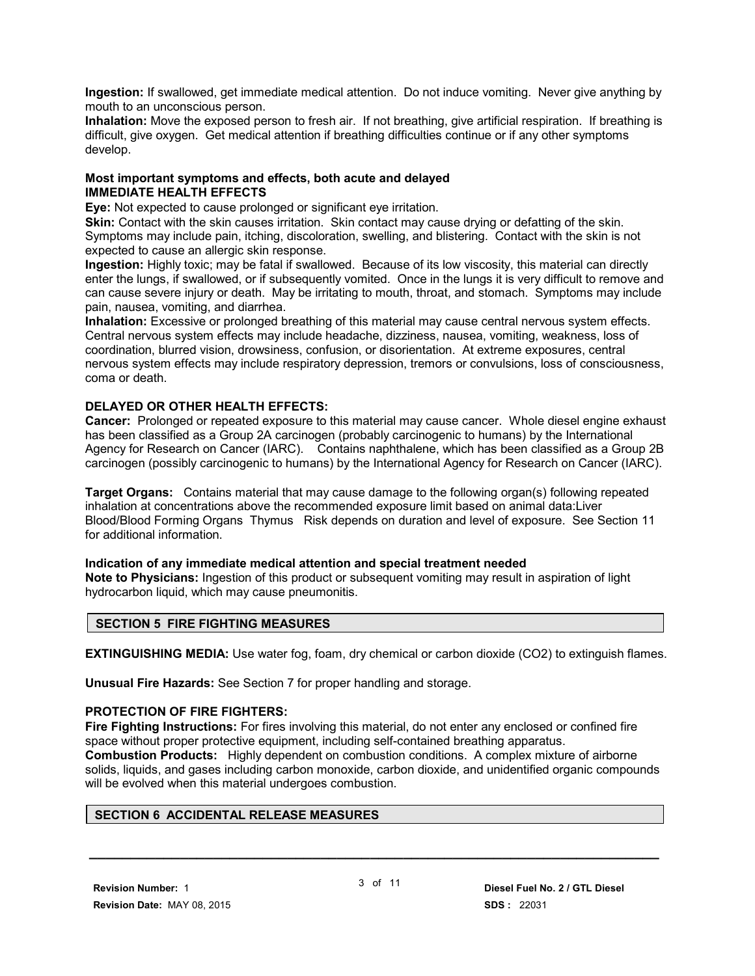**Ingestion:** If swallowed, get immediate medical attention. Do not induce vomiting. Never give anything by mouth to an unconscious person.

**Inhalation:** Move the exposed person to fresh air. If not breathing, give artificial respiration. If breathing is difficult, give oxygen. Get medical attention if breathing difficulties continue or if any other symptoms develop.

#### **Most important symptoms and effects, both acute and delayed IMMEDIATE HEALTH EFFECTS**

**Eye:** Not expected to cause prolonged or significant eye irritation.

**Skin:** Contact with the skin causes irritation. Skin contact may cause drying or defatting of the skin. Symptoms may include pain, itching, discoloration, swelling, and blistering. Contact with the skin is not expected to cause an allergic skin response.

**Ingestion:** Highly toxic; may be fatal if swallowed. Because of its low viscosity, this material can directly enter the lungs, if swallowed, or if subsequently vomited. Once in the lungs it is very difficult to remove and can cause severe injury or death. May be irritating to mouth, throat, and stomach. Symptoms may include pain, nausea, vomiting, and diarrhea.

**Inhalation:** Excessive or prolonged breathing of this material may cause central nervous system effects. Central nervous system effects may include headache, dizziness, nausea, vomiting, weakness, loss of coordination, blurred vision, drowsiness, confusion, or disorientation. At extreme exposures, central nervous system effects may include respiratory depression, tremors or convulsions, loss of consciousness, coma or death.

# **DELAYED OR OTHER HEALTH EFFECTS:**

**Cancer:** Prolonged or repeated exposure to this material may cause cancer. Whole diesel engine exhaust has been classified as a Group 2A carcinogen (probably carcinogenic to humans) by the International Agency for Research on Cancer (IARC). Contains naphthalene, which has been classified as a Group 2B carcinogen (possibly carcinogenic to humans) by the International Agency for Research on Cancer (IARC).

**Target Organs:** Contains material that may cause damage to the following organ(s) following repeated inhalation at concentrations above the recommended exposure limit based on animal data:Liver Blood/Blood Forming Organs Thymus Risk depends on duration and level of exposure. See Section 11 for additional information.

#### **Indication of any immediate medical attention and special treatment needed**

**Note to Physicians:** Ingestion of this product or subsequent vomiting may result in aspiration of light hydrocarbon liquid, which may cause pneumonitis.

#### **SECTION 5 FIRE FIGHTING MEASURES**

**EXTINGUISHING MEDIA:** Use water fog, foam, dry chemical or carbon dioxide (CO2) to extinguish flames.

**Unusual Fire Hazards:** See Section 7 for proper handling and storage.

### **PROTECTION OF FIRE FIGHTERS:**

**Fire Fighting Instructions:** For fires involving this material, do not enter any enclosed or confined fire space without proper protective equipment, including self-contained breathing apparatus. **Combustion Products:** Highly dependent on combustion conditions. A complex mixture of airborne solids, liquids, and gases including carbon monoxide, carbon dioxide, and unidentified organic compounds will be evolved when this material undergoes combustion.

# **SECTION 6 ACCIDENTAL RELEASE MEASURES**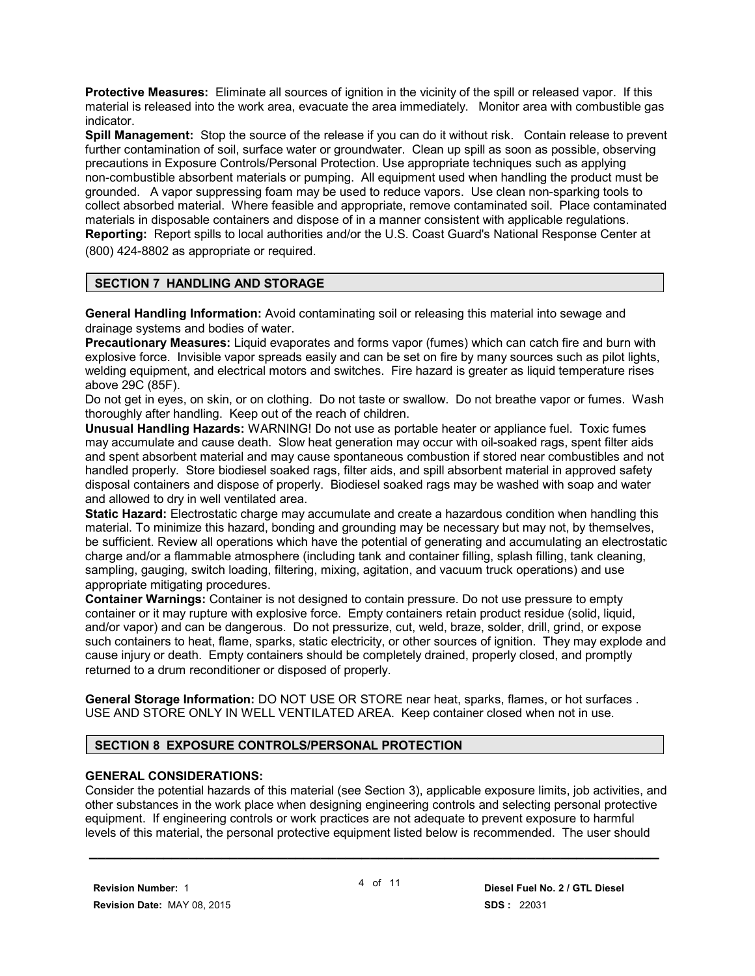**Protective Measures:** Eliminate all sources of ignition in the vicinity of the spill or released vapor. If this material is released into the work area, evacuate the area immediately. Monitor area with combustible gas indicator.

**Spill Management:** Stop the source of the release if you can do it without risk. Contain release to prevent further contamination of soil, surface water or groundwater. Clean up spill as soon as possible, observing precautions in Exposure Controls/Personal Protection. Use appropriate techniques such as applying non-combustible absorbent materials or pumping. All equipment used when handling the product must be grounded. A vapor suppressing foam may be used to reduce vapors. Use clean non-sparking tools to collect absorbed material. Where feasible and appropriate, remove contaminated soil. Place contaminated materials in disposable containers and dispose of in a manner consistent with applicable regulations. **Reporting:** Report spills to local authorities and/or the U.S. Coast Guard's National Response Center at (800) 424-8802 as appropriate or required.

#### **SECTION 7 HANDLING AND STORAGE**

**General Handling Information:** Avoid contaminating soil or releasing this material into sewage and drainage systems and bodies of water.

**Precautionary Measures:** Liquid evaporates and forms vapor (fumes) which can catch fire and burn with explosive force. Invisible vapor spreads easily and can be set on fire by many sources such as pilot lights, welding equipment, and electrical motors and switches. Fire hazard is greater as liquid temperature rises above 29C (85F).

Do not get in eyes, on skin, or on clothing. Do not taste or swallow. Do not breathe vapor or fumes. Wash thoroughly after handling. Keep out of the reach of children.

**Unusual Handling Hazards:** WARNING! Do not use as portable heater or appliance fuel. Toxic fumes may accumulate and cause death. Slow heat generation may occur with oil-soaked rags, spent filter aids and spent absorbent material and may cause spontaneous combustion if stored near combustibles and not handled properly. Store biodiesel soaked rags, filter aids, and spill absorbent material in approved safety disposal containers and dispose of properly. Biodiesel soaked rags may be washed with soap and water and allowed to dry in well ventilated area.

**Static Hazard:** Electrostatic charge may accumulate and create a hazardous condition when handling this material. To minimize this hazard, bonding and grounding may be necessary but may not, by themselves, be sufficient. Review all operations which have the potential of generating and accumulating an electrostatic charge and/or a flammable atmosphere (including tank and container filling, splash filling, tank cleaning, sampling, gauging, switch loading, filtering, mixing, agitation, and vacuum truck operations) and use appropriate mitigating procedures.

**Container Warnings:** Container is not designed to contain pressure. Do not use pressure to empty container or it may rupture with explosive force. Empty containers retain product residue (solid, liquid, and/or vapor) and can be dangerous. Do not pressurize, cut, weld, braze, solder, drill, grind, or expose such containers to heat, flame, sparks, static electricity, or other sources of ignition. They may explode and cause injury or death. Empty containers should be completely drained, properly closed, and promptly returned to a drum reconditioner or disposed of properly.

**General Storage Information:** DO NOT USE OR STORE near heat, sparks, flames, or hot surfaces . USE AND STORE ONLY IN WELL VENTILATED AREA. Keep container closed when not in use.

#### **SECTION 8 EXPOSURE CONTROLS/PERSONAL PROTECTION**

#### **GENERAL CONSIDERATIONS:**

Consider the potential hazards of this material (see Section 3), applicable exposure limits, job activities, and other substances in the work place when designing engineering controls and selecting personal protective equipment. If engineering controls or work practices are not adequate to prevent exposure to harmful levels of this material, the personal protective equipment listed below is recommended. The user should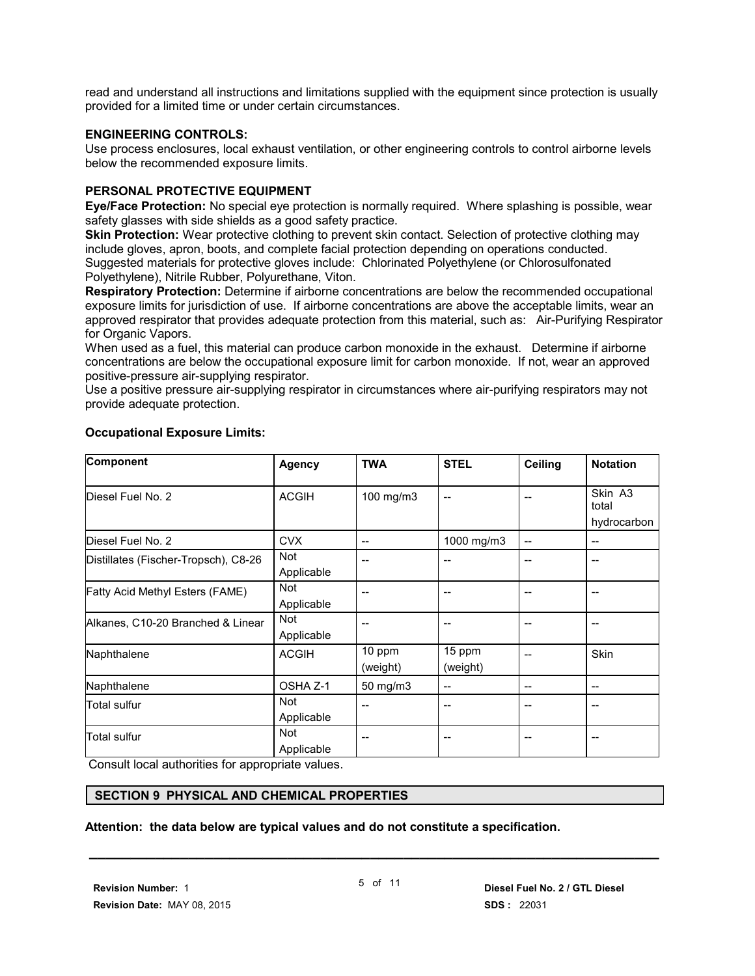read and understand all instructions and limitations supplied with the equipment since protection is usually provided for a limited time or under certain circumstances.

#### **ENGINEERING CONTROLS:**

Use process enclosures, local exhaust ventilation, or other engineering controls to control airborne levels below the recommended exposure limits.

#### **PERSONAL PROTECTIVE EQUIPMENT**

**Eye/Face Protection:** No special eye protection is normally required. Where splashing is possible, wear safety glasses with side shields as a good safety practice.

**Skin Protection:** Wear protective clothing to prevent skin contact. Selection of protective clothing may include gloves, apron, boots, and complete facial protection depending on operations conducted. Suggested materials for protective gloves include: Chlorinated Polyethylene (or Chlorosulfonated Polyethylene), Nitrile Rubber, Polyurethane, Viton.

**Respiratory Protection:** Determine if airborne concentrations are below the recommended occupational exposure limits for jurisdiction of use. If airborne concentrations are above the acceptable limits, wear an approved respirator that provides adequate protection from this material, such as: Air-Purifying Respirator for Organic Vapors.

When used as a fuel, this material can produce carbon monoxide in the exhaust. Determine if airborne concentrations are below the occupational exposure limit for carbon monoxide. If not, wear an approved positive-pressure air-supplying respirator.

Use a positive pressure air-supplying respirator in circumstances where air-purifying respirators may not provide adequate protection.

| <b>Component</b>                     | <b>Agency</b> | <b>TWA</b> | <b>STEL</b> | <b>Ceiling</b>           | <b>Notation</b>  |
|--------------------------------------|---------------|------------|-------------|--------------------------|------------------|
| Diesel Fuel No. 2                    | <b>ACGIH</b>  | 100 mg/m3  |             |                          | Skin A3<br>total |
|                                      |               |            |             |                          | hydrocarbon      |
| Diesel Fuel No. 2                    | <b>CVX</b>    | $-$        | 1000 mg/m3  | $\overline{\phantom{a}}$ | $-$              |
| Distillates (Fischer-Tropsch), C8-26 | Not           |            |             |                          | --               |
|                                      | Applicable    |            |             |                          |                  |
| Fatty Acid Methyl Esters (FAME)      | <b>Not</b>    | --         |             |                          | --               |
|                                      | Applicable    |            |             |                          |                  |
| Alkanes, C10-20 Branched & Linear    | <b>Not</b>    | $-$        | $- -$       | $-$                      | $- -$            |
|                                      | Applicable    |            |             |                          |                  |
| Naphthalene                          | <b>ACGIH</b>  | 10 ppm     | 15 ppm      | $-$                      | Skin             |
|                                      |               | (weight)   | (weight)    |                          |                  |
| Naphthalene                          | OSHA Z-1      | 50 mg/m3   | --          | $\overline{a}$           | --               |
| Total sulfur                         | <b>Not</b>    | --         |             | --                       | --               |
|                                      | Applicable    |            |             |                          |                  |
| <b>Total sulfur</b>                  | Not           | --         | $- -$       | $-$                      | $- -$            |
|                                      | Applicable    |            |             |                          |                  |

#### **Occupational Exposure Limits:**

Consult local authorities for appropriate values.

#### **SECTION 9 PHYSICAL AND CHEMICAL PROPERTIES**

**Attention: the data below are typical values and do not constitute a specification.**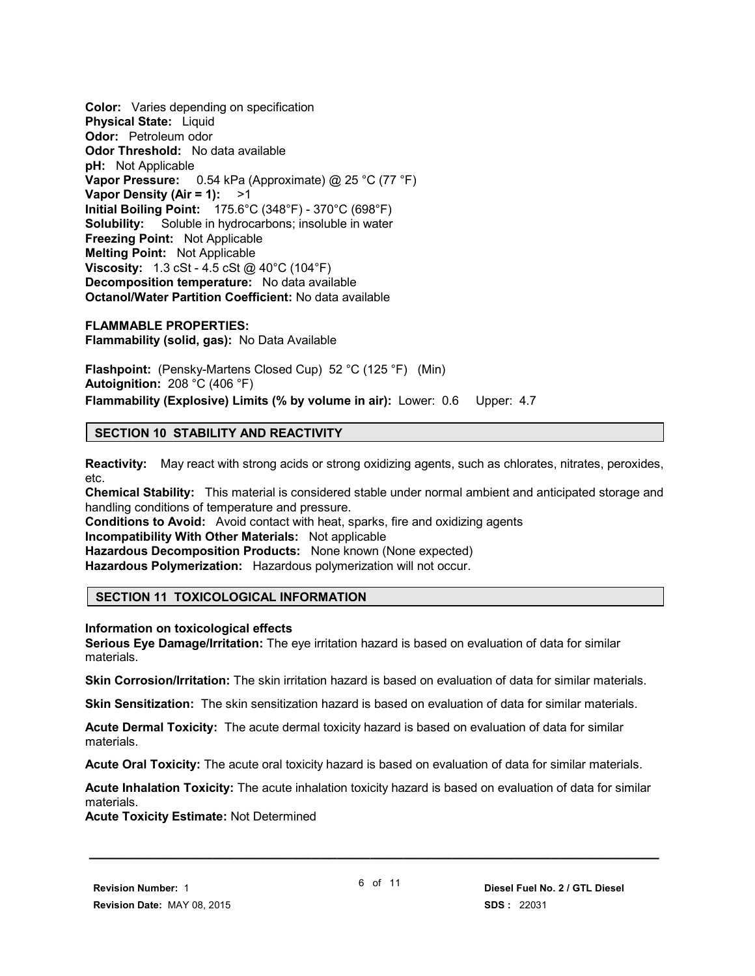**Color:** Varies depending on specification **Physical State:** Liquid **Odor:** Petroleum odor **Odor Threshold:** No data available **pH:** Not Applicable **Vapor Pressure:** 0.54 kPa (Approximate) @ 25 °C (77 °F) **Vapor Density (Air = 1):** >1 **Initial Boiling Point:** 175.6°C (348°F) - 370°C (698°F) **Solubility:** Soluble in hydrocarbons; insoluble in water **Freezing Point:** Not Applicable **Melting Point:** Not Applicable **Viscosity:** 1.3 cSt - 4.5 cSt @ 40°C (104°F) **Decomposition temperature:** No data available **Octanol/Water Partition Coefficient:** No data available

**FLAMMABLE PROPERTIES: Flammability (solid, gas):** No Data Available

**Flashpoint:** (Pensky-Martens Closed Cup) 52 °C (125 °F) (Min) **Autoignition:** 208 °C (406 °F) **Flammability (Explosive) Limits (% by volume in air):** Lower: 0.6 Upper: 4.7

#### **SECTION 10 STABILITY AND REACTIVITY**

**Reactivity:** May react with strong acids or strong oxidizing agents, such as chlorates, nitrates, peroxides, etc.

**Chemical Stability:** This material is considered stable under normal ambient and anticipated storage and handling conditions of temperature and pressure.

**Conditions to Avoid:** Avoid contact with heat, sparks, fire and oxidizing agents **Incompatibility With Other Materials:** Not applicable **Hazardous Decomposition Products:** None known (None expected)

**Hazardous Polymerization:** Hazardous polymerization will not occur.

#### **SECTION 11 TOXICOLOGICAL INFORMATION**

**Information on toxicological effects**

**Serious Eye Damage/Irritation:** The eye irritation hazard is based on evaluation of data for similar materials.

**Skin Corrosion/Irritation:** The skin irritation hazard is based on evaluation of data for similar materials.

**Skin Sensitization:** The skin sensitization hazard is based on evaluation of data for similar materials.

**Acute Dermal Toxicity:** The acute dermal toxicity hazard is based on evaluation of data for similar materials.

**Acute Oral Toxicity:** The acute oral toxicity hazard is based on evaluation of data for similar materials.

**Acute Inhalation Toxicity:** The acute inhalation toxicity hazard is based on evaluation of data for similar materials.

**Acute Toxicity Estimate:** Not Determined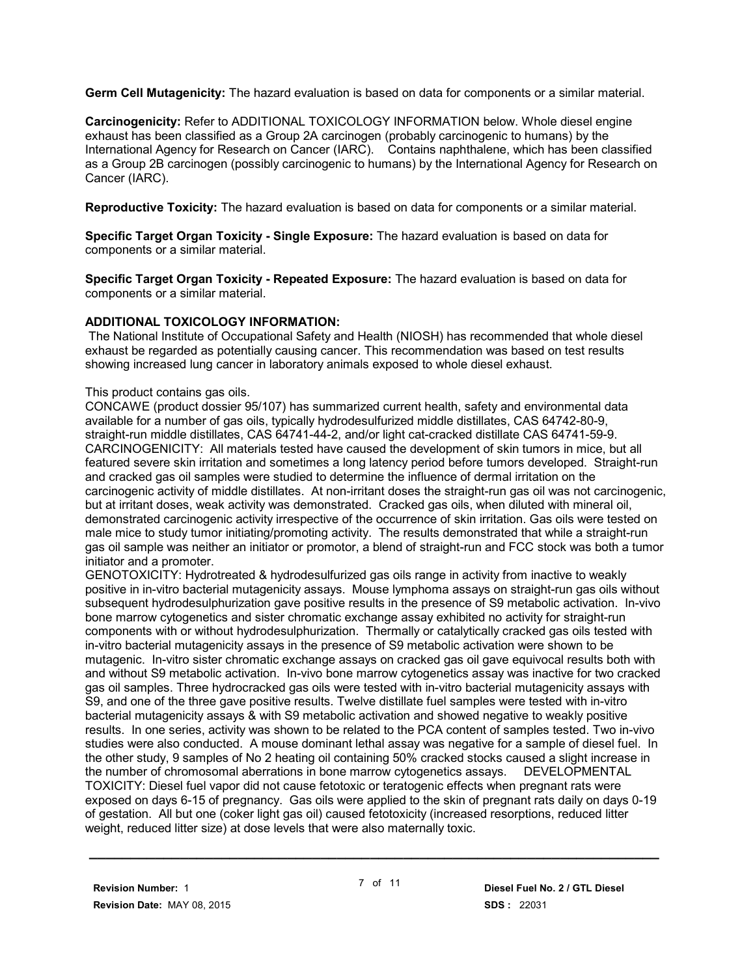**Germ Cell Mutagenicity:** The hazard evaluation is based on data for components or a similar material.

**Carcinogenicity:** Refer to ADDITIONAL TOXICOLOGY INFORMATION below. Whole diesel engine exhaust has been classified as a Group 2A carcinogen (probably carcinogenic to humans) by the International Agency for Research on Cancer (IARC). Contains naphthalene, which has been classified as a Group 2B carcinogen (possibly carcinogenic to humans) by the International Agency for Research on Cancer (IARC).

**Reproductive Toxicity:** The hazard evaluation is based on data for components or a similar material.

**Specific Target Organ Toxicity - Single Exposure:** The hazard evaluation is based on data for components or a similar material.

**Specific Target Organ Toxicity - Repeated Exposure:** The hazard evaluation is based on data for components or a similar material.

#### **ADDITIONAL TOXICOLOGY INFORMATION:**

 The National Institute of Occupational Safety and Health (NIOSH) has recommended that whole diesel exhaust be regarded as potentially causing cancer. This recommendation was based on test results showing increased lung cancer in laboratory animals exposed to whole diesel exhaust.

#### This product contains gas oils.

CONCAWE (product dossier 95/107) has summarized current health, safety and environmental data available for a number of gas oils, typically hydrodesulfurized middle distillates, CAS 64742-80-9, straight-run middle distillates, CAS 64741-44-2, and/or light cat-cracked distillate CAS 64741-59-9. CARCINOGENICITY: All materials tested have caused the development of skin tumors in mice, but all featured severe skin irritation and sometimes a long latency period before tumors developed. Straight-run and cracked gas oil samples were studied to determine the influence of dermal irritation on the carcinogenic activity of middle distillates. At non-irritant doses the straight-run gas oil was not carcinogenic, but at irritant doses, weak activity was demonstrated. Cracked gas oils, when diluted with mineral oil, demonstrated carcinogenic activity irrespective of the occurrence of skin irritation. Gas oils were tested on male mice to study tumor initiating/promoting activity. The results demonstrated that while a straight-run gas oil sample was neither an initiator or promotor, a blend of straight-run and FCC stock was both a tumor initiator and a promoter.

GENOTOXICITY: Hydrotreated & hydrodesulfurized gas oils range in activity from inactive to weakly positive in in-vitro bacterial mutagenicity assays. Mouse lymphoma assays on straight-run gas oils without subsequent hydrodesulphurization gave positive results in the presence of S9 metabolic activation. In-vivo bone marrow cytogenetics and sister chromatic exchange assay exhibited no activity for straight-run components with or without hydrodesulphurization. Thermally or catalytically cracked gas oils tested with in-vitro bacterial mutagenicity assays in the presence of S9 metabolic activation were shown to be mutagenic. In-vitro sister chromatic exchange assays on cracked gas oil gave equivocal results both with and without S9 metabolic activation. In-vivo bone marrow cytogenetics assay was inactive for two cracked gas oil samples. Three hydrocracked gas oils were tested with in-vitro bacterial mutagenicity assays with S9, and one of the three gave positive results. Twelve distillate fuel samples were tested with in-vitro bacterial mutagenicity assays & with S9 metabolic activation and showed negative to weakly positive results. In one series, activity was shown to be related to the PCA content of samples tested. Two in-vivo studies were also conducted. A mouse dominant lethal assay was negative for a sample of diesel fuel. In the other study, 9 samples of No 2 heating oil containing 50% cracked stocks caused a slight increase in the number of chromosomal aberrations in bone marrow cytogenetics assays. DEVELOPMENTAL TOXICITY: Diesel fuel vapor did not cause fetotoxic or teratogenic effects when pregnant rats were exposed on days 6-15 of pregnancy. Gas oils were applied to the skin of pregnant rats daily on days 0-19 of gestation. All but one (coker light gas oil) caused fetotoxicity (increased resorptions, reduced litter weight, reduced litter size) at dose levels that were also maternally toxic.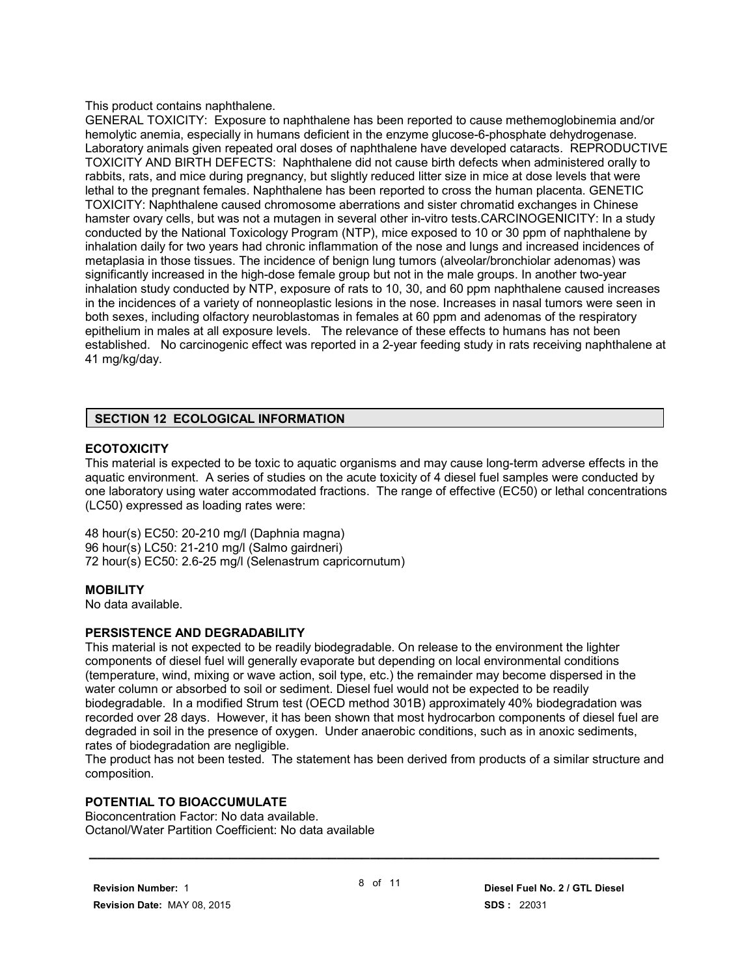This product contains naphthalene.

GENERAL TOXICITY: Exposure to naphthalene has been reported to cause methemoglobinemia and/or hemolytic anemia, especially in humans deficient in the enzyme glucose-6-phosphate dehydrogenase. Laboratory animals given repeated oral doses of naphthalene have developed cataracts. REPRODUCTIVE TOXICITY AND BIRTH DEFECTS: Naphthalene did not cause birth defects when administered orally to rabbits, rats, and mice during pregnancy, but slightly reduced litter size in mice at dose levels that were lethal to the pregnant females. Naphthalene has been reported to cross the human placenta. GENETIC TOXICITY: Naphthalene caused chromosome aberrations and sister chromatid exchanges in Chinese hamster ovary cells, but was not a mutagen in several other in-vitro tests.CARCINOGENICITY: In a study conducted by the National Toxicology Program (NTP), mice exposed to 10 or 30 ppm of naphthalene by inhalation daily for two years had chronic inflammation of the nose and lungs and increased incidences of metaplasia in those tissues. The incidence of benign lung tumors (alveolar/bronchiolar adenomas) was significantly increased in the high-dose female group but not in the male groups. In another two-year inhalation study conducted by NTP, exposure of rats to 10, 30, and 60 ppm naphthalene caused increases in the incidences of a variety of nonneoplastic lesions in the nose. Increases in nasal tumors were seen in both sexes, including olfactory neuroblastomas in females at 60 ppm and adenomas of the respiratory epithelium in males at all exposure levels. The relevance of these effects to humans has not been established. No carcinogenic effect was reported in a 2-year feeding study in rats receiving naphthalene at 41 mg/kg/day.

#### **SECTION 12 ECOLOGICAL INFORMATION**

#### **ECOTOXICITY**

This material is expected to be toxic to aquatic organisms and may cause long-term adverse effects in the aquatic environment. A series of studies on the acute toxicity of 4 diesel fuel samples were conducted by one laboratory using water accommodated fractions. The range of effective (EC50) or lethal concentrations (LC50) expressed as loading rates were:

48 hour(s) EC50: 20-210 mg/l (Daphnia magna) 96 hour(s) LC50: 21-210 mg/l (Salmo gairdneri) 72 hour(s) EC50: 2.6-25 mg/l (Selenastrum capricornutum)

#### **MOBILITY**

No data available.

#### **PERSISTENCE AND DEGRADABILITY**

This material is not expected to be readily biodegradable. On release to the environment the lighter components of diesel fuel will generally evaporate but depending on local environmental conditions (temperature, wind, mixing or wave action, soil type, etc.) the remainder may become dispersed in the water column or absorbed to soil or sediment. Diesel fuel would not be expected to be readily biodegradable. In a modified Strum test (OECD method 301B) approximately 40% biodegradation was recorded over 28 days. However, it has been shown that most hydrocarbon components of diesel fuel are degraded in soil in the presence of oxygen. Under anaerobic conditions, such as in anoxic sediments, rates of biodegradation are negligible.

The product has not been tested. The statement has been derived from products of a similar structure and composition.

#### **POTENTIAL TO BIOACCUMULATE**

Bioconcentration Factor: No data available. Octanol/Water Partition Coefficient: No data available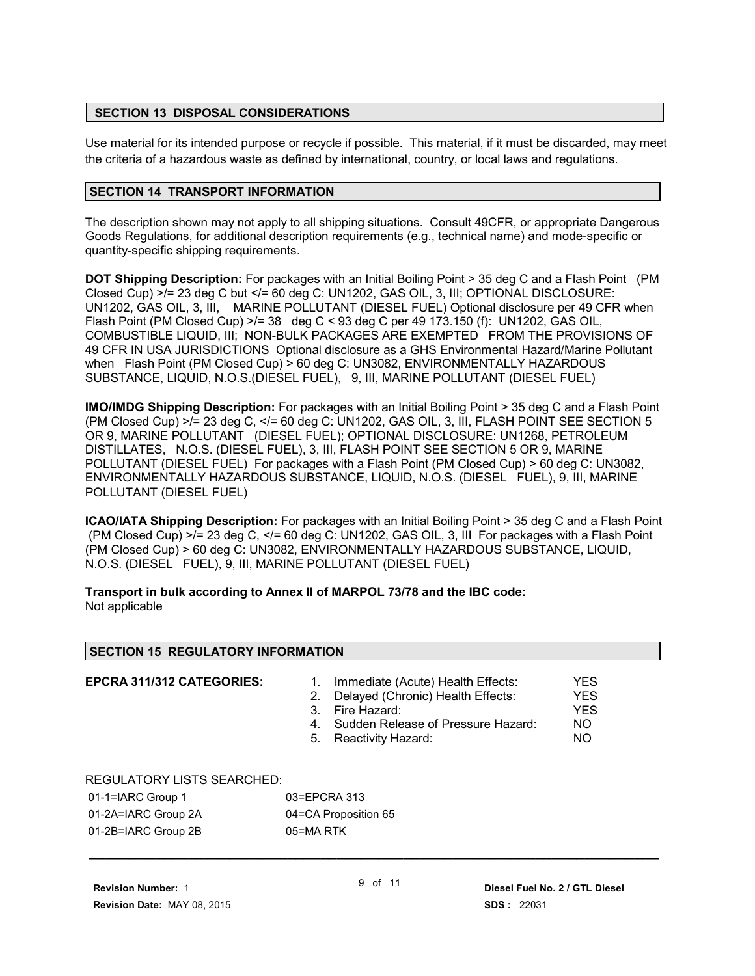### **SECTION 13 DISPOSAL CONSIDERATIONS**

Use material for its intended purpose or recycle if possible. This material, if it must be discarded, may meet the criteria of a hazardous waste as defined by international, country, or local laws and regulations.

## **SECTION 14 TRANSPORT INFORMATION**

The description shown may not apply to all shipping situations. Consult 49CFR, or appropriate Dangerous Goods Regulations, for additional description requirements (e.g., technical name) and mode-specific or quantity-specific shipping requirements.

**DOT Shipping Description:** For packages with an Initial Boiling Point > 35 deg C and a Flash Point (PM Closed Cup)  $>$  /= 23 deg C but  $<$  /= 60 deg C: UN1202, GAS OIL, 3, III; OPTIONAL DISCLOSURE: UN1202, GAS OIL, 3, III, MARINE POLLUTANT (DIESEL FUEL) Optional disclosure per 49 CFR when Flash Point (PM Closed Cup)  $>1/2$  38 deg C < 93 deg C per 49 173.150 (f): UN1202, GAS OIL, COMBUSTIBLE LIQUID, III; NON-BULK PACKAGES ARE EXEMPTED FROM THE PROVISIONS OF 49 CFR IN USA JURISDICTIONS Optional disclosure as a GHS Environmental Hazard/Marine Pollutant when Flash Point (PM Closed Cup) > 60 deg C: UN3082, ENVIRONMENTALLY HAZARDOUS SUBSTANCE, LIQUID, N.O.S.(DIESEL FUEL), 9, III, MARINE POLLUTANT (DIESEL FUEL)

**IMO/IMDG Shipping Description:** For packages with an Initial Boiling Point > 35 deg C and a Flash Point (PM Closed Cup)  $>1 = 23$  deg C,  $<1 = 60$  deg C: UN1202, GAS OIL, 3, III, FLASH POINT SEE SECTION 5 OR 9, MARINE POLLUTANT (DIESEL FUEL); OPTIONAL DISCLOSURE: UN1268, PETROLEUM DISTILLATES, N.O.S. (DIESEL FUEL), 3, III, FLASH POINT SEE SECTION 5 OR 9, MARINE POLLUTANT (DIESEL FUEL) For packages with a Flash Point (PM Closed Cup) > 60 deg C: UN3082, ENVIRONMENTALLY HAZARDOUS SUBSTANCE, LIQUID, N.O.S. (DIESEL FUEL), 9, III, MARINE POLLUTANT (DIESEL FUEL)

**ICAO/IATA Shipping Description:** For packages with an Initial Boiling Point > 35 deg C and a Flash Point (PM Closed Cup) >/= 23 deg C, </= 60 deg C: UN1202, GAS OIL, 3, III For packages with a Flash Point (PM Closed Cup) > 60 deg C: UN3082, ENVIRONMENTALLY HAZARDOUS SUBSTANCE, LIQUID, N.O.S. (DIESEL FUEL), 9, III, MARINE POLLUTANT (DIESEL FUEL)

**Transport in bulk according to Annex II of MARPOL 73/78 and the IBC code:** Not applicable

| <b>SECTION 15 REGULATORY INFORMATION</b> |                                                                                                                                                                                                                              |  |
|------------------------------------------|------------------------------------------------------------------------------------------------------------------------------------------------------------------------------------------------------------------------------|--|
| EPCRA 311/312 CATEGORIES:                | YES.<br>Immediate (Acute) Health Effects:<br>Delayed (Chronic) Health Effects:<br><b>YES</b><br>2.<br><b>YES</b><br>Fire Hazard:<br>3.<br>Sudden Release of Pressure Hazard:<br>NO.<br>4.<br>NO.<br>Reactivity Hazard:<br>5. |  |
| <b>REGULATORY LISTS SEARCHED:</b>        |                                                                                                                                                                                                                              |  |
| 01-1=IARC Group 1                        | 03=EPCRA 313                                                                                                                                                                                                                 |  |
| 01-2A=IARC Group 2A                      | 04=CA Proposition 65                                                                                                                                                                                                         |  |

01-2B=IARC Group 2B 05=MA RTK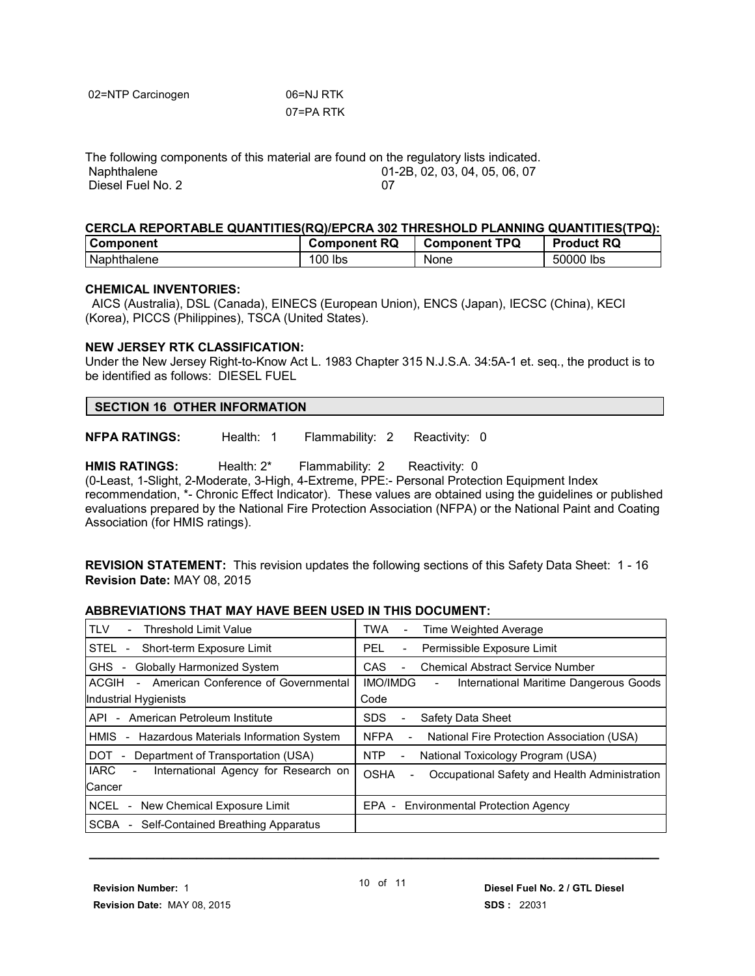| 02=NTP Carcinogen | 06=NJ RTK |
|-------------------|-----------|
|                   | 07=PA RTK |

The following components of this material are found on the regulatory lists indicated.<br>Naphthalene 01-2B. 02. 03. 04. 05. 06. 07 01-2B, 02, 03, 04, 05, 06, 07 Diesel Fuel No. 2 07

#### **CERCLA REPORTABLE QUANTITIES(RQ)/EPCRA 302 THRESHOLD PLANNING QUANTITIES(TPQ):**

| <b>Component</b> | <b>Component RQ</b> | <b>Component TPQ</b> | <b>Product RQ</b> |
|------------------|---------------------|----------------------|-------------------|
| Naphthalene      | 100 lbs             | None                 | 50000 lbs         |

#### **CHEMICAL INVENTORIES:**

 AICS (Australia), DSL (Canada), EINECS (European Union), ENCS (Japan), IECSC (China), KECI (Korea), PICCS (Philippines), TSCA (United States).

#### **NEW JERSEY RTK CLASSIFICATION:**

Under the New Jersey Right-to-Know Act L. 1983 Chapter 315 N.J.S.A. 34:5A-1 et. seq., the product is to be identified as follows: DIESEL FUEL

**NFPA RATINGS:** Health: 1 Flammability: 2 Reactivity: 0

HMIS RATINGS: Health: 2<sup>\*</sup> Flammability: 2 Reactivity: 0 (0-Least, 1-Slight, 2-Moderate, 3-High, 4-Extreme, PPE:- Personal Protection Equipment Index recommendation, \*- Chronic Effect Indicator). These values are obtained using the guidelines or published evaluations prepared by the National Fire Protection Association (NFPA) or the National Paint and Coating Association (for HMIS ratings).

**REVISION STATEMENT:** This revision updates the following sections of this Safety Data Sheet: 1 - 16 **Revision Date:** MAY 08, 2015

#### **ABBREVIATIONS THAT MAY HAVE BEEN USED IN THIS DOCUMENT:**

| <b>TLV</b><br><b>Threshold Limit Value</b>                        | TWA<br>Time Weighted Average<br>$\overline{\phantom{a}}$ |
|-------------------------------------------------------------------|----------------------------------------------------------|
| STEL                                                              | Permissible Exposure Limit                               |
| Short-term Exposure Limit                                         | <b>PEL</b>                                               |
| $\overline{\phantom{a}}$                                          | $\overline{\phantom{a}}$                                 |
| <b>Globally Harmonized System</b><br><b>GHS</b><br>$\blacksquare$ | <b>CAS</b><br><b>Chemical Abstract Service Number</b>    |
| American Conference of Governmental                               | <b>IMO/IMDG</b>                                          |
| ACGIH                                                             | International Maritime Dangerous Goods                   |
| $\sim$                                                            | $\overline{\phantom{a}}$                                 |
| Industrial Hygienists                                             | Code                                                     |
| - American Petroleum Institute                                    | Safety Data Sheet                                        |
| API                                                               | <b>SDS</b>                                               |
| Hazardous Materials Information System                            | <b>NFPA</b>                                              |
| HMIS                                                              | National Fire Protection Association (USA)               |
| $\overline{\phantom{a}}$                                          | $\overline{\phantom{0}}$                                 |
| DOT.                                                              | <b>NTP</b>                                               |
| Department of Transportation (USA)                                | National Toxicology Program (USA)                        |
| <b>IARC</b>                                                       | <b>OSHA</b>                                              |
| International Agency for Research on                              | Occupational Safety and Health Administration            |
| $\overline{\phantom{a}}$                                          | $\overline{\phantom{0}}$                                 |
|                                                                   |                                                          |
| Cancer                                                            |                                                          |
| NCEL<br>New Chemical Exposure Limit<br>$\sim$                     | $EPA -$<br><b>Environmental Protection Agency</b>        |